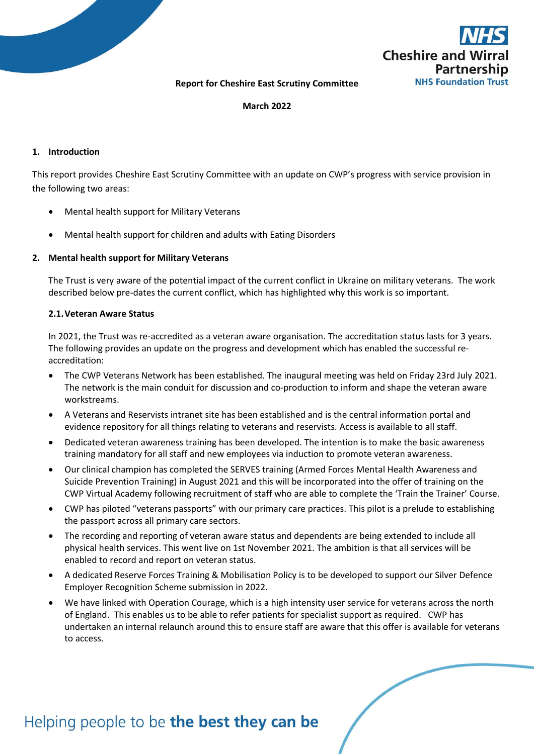

#### **Report for Cheshire East Scrutiny Committee**

#### **March 2022**

#### **1. Introduction**

This report provides Cheshire East Scrutiny Committee with an update on CWP's progress with service provision in the following two areas:

- Mental health support for Military Veterans
- Mental health support for children and adults with Eating Disorders

#### **2. Mental health support for Military Veterans**

The Trust is very aware of the potential impact of the current conflict in Ukraine on military veterans. The work described below pre-dates the current conflict, which has highlighted why this work is so important.

#### **2.1.Veteran Aware Status**

In 2021, the Trust was re-accredited as a veteran aware organisation. The accreditation status lasts for 3 years. The following provides an update on the progress and development which has enabled the successful reaccreditation:

- The CWP Veterans Network has been established. The inaugural meeting was held on Friday 23rd July 2021. The network is the main conduit for discussion and co-production to inform and shape the veteran aware workstreams.
- A Veterans and Reservists intranet site has been established and is the central information portal and evidence repository for all things relating to veterans and reservists. Access is available to all staff.
- Dedicated veteran awareness training has been developed. The intention is to make the basic awareness training mandatory for all staff and new employees via induction to promote veteran awareness.
- Our clinical champion has completed the SERVES training (Armed Forces Mental Health Awareness and Suicide Prevention Training) in August 2021 and this will be incorporated into the offer of training on the CWP Virtual Academy following recruitment of staff who are able to complete the 'Train the Trainer' Course.
- CWP has piloted "veterans passports" with our primary care practices. This pilot is a prelude to establishing the passport across all primary care sectors.
- The recording and reporting of veteran aware status and dependents are being extended to include all physical health services. This went live on 1st November 2021. The ambition is that all services will be enabled to record and report on veteran status.
- A dedicated Reserve Forces Training & Mobilisation Policy is to be developed to support our Silver Defence Employer Recognition Scheme submission in 2022.
- We have linked with Operation Courage, which is a high intensity user service for veterans across the north of England. This enables us to be able to refer patients for specialist support as required. CWP has undertaken an internal relaunch around this to ensure staff are aware that this offer is available for veterans to access.

# Helping people to be the best they can be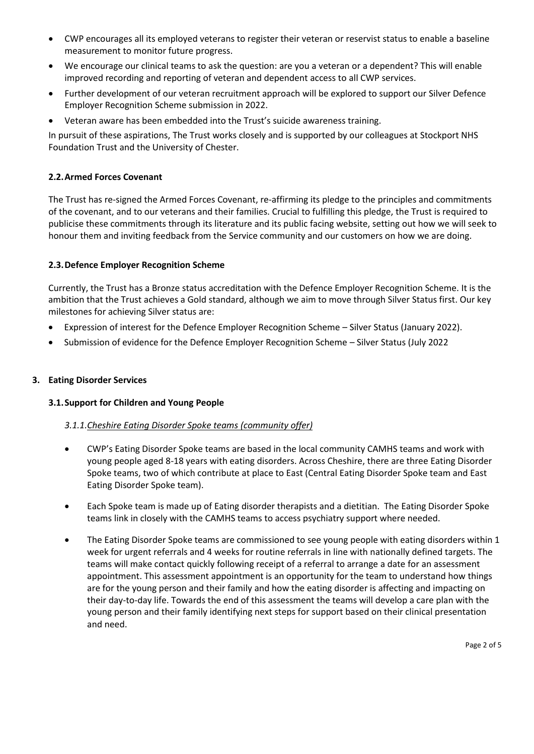- CWP encourages all its employed veterans to register their veteran or reservist status to enable a baseline measurement to monitor future progress.
- We encourage our clinical teams to ask the question: are you a veteran or a dependent? This will enable improved recording and reporting of veteran and dependent access to all CWP services.
- Further development of our veteran recruitment approach will be explored to support our Silver Defence Employer Recognition Scheme submission in 2022.
- Veteran aware has been embedded into the Trust's suicide awareness training.

In pursuit of these aspirations, The Trust works closely and is supported by our colleagues at Stockport NHS Foundation Trust and the University of Chester.

## **2.2.Armed Forces Covenant**

The Trust has re-signed the Armed Forces Covenant, re-affirming its pledge to the principles and commitments of the covenant, and to our veterans and their families. Crucial to fulfilling this pledge, the Trust is required to publicise these commitments through its literature and its public facing website, setting out how we will seek to honour them and inviting feedback from the Service community and our customers on how we are doing.

## **2.3.Defence Employer Recognition Scheme**

Currently, the Trust has a Bronze status accreditation with the Defence Employer Recognition Scheme. It is the ambition that the Trust achieves a Gold standard, although we aim to move through Silver Status first. Our key milestones for achieving Silver status are:

- Expression of interest for the Defence Employer Recognition Scheme Silver Status (January 2022).
- Submission of evidence for the Defence Employer Recognition Scheme Silver Status (July 2022

### **3. Eating Disorder Services**

### **3.1.Support for Children and Young People**

### *3.1.1.Cheshire Eating Disorder Spoke teams (community offer)*

- CWP's Eating Disorder Spoke teams are based in the local community CAMHS teams and work with young people aged 8-18 years with eating disorders. Across Cheshire, there are three Eating Disorder Spoke teams, two of which contribute at place to East (Central Eating Disorder Spoke team and East Eating Disorder Spoke team).
- Each Spoke team is made up of Eating disorder therapists and a dietitian. The Eating Disorder Spoke teams link in closely with the CAMHS teams to access psychiatry support where needed.
- The Eating Disorder Spoke teams are commissioned to see young people with eating disorders within 1 week for urgent referrals and 4 weeks for routine referrals in line with nationally defined targets. The teams will make contact quickly following receipt of a referral to arrange a date for an assessment appointment. This assessment appointment is an opportunity for the team to understand how things are for the young person and their family and how the eating disorder is affecting and impacting on their day-to-day life. Towards the end of this assessment the teams will develop a care plan with the young person and their family identifying next steps for support based on their clinical presentation and need.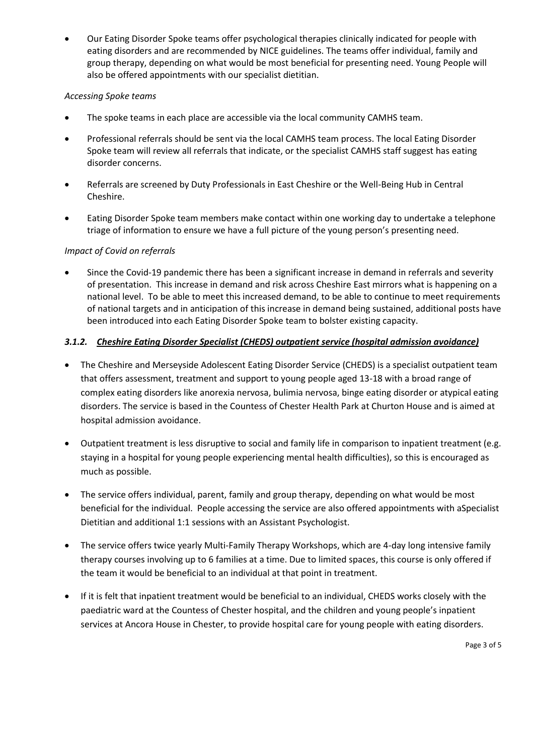Our Eating Disorder Spoke teams offer psychological therapies clinically indicated for people with eating disorders and are recommended by NICE guidelines. The teams offer individual, family and group therapy, depending on what would be most beneficial for presenting need. Young People will also be offered appointments with our specialist dietitian.

## *Accessing Spoke teams*

- The spoke teams in each place are accessible via the local community CAMHS team.
- Professional referrals should be sent via the local CAMHS team process. The local Eating Disorder Spoke team will review all referrals that indicate, or the specialist CAMHS staff suggest has eating disorder concerns.
- Referrals are screened by Duty Professionals in East Cheshire or the Well-Being Hub in Central Cheshire.
- Eating Disorder Spoke team members make contact within one working day to undertake a telephone triage of information to ensure we have a full picture of the young person's presenting need.

# *Impact of Covid on referrals*

 Since the Covid-19 pandemic there has been a significant increase in demand in referrals and severity of presentation. This increase in demand and risk across Cheshire East mirrors what is happening on a national level. To be able to meet this increased demand, to be able to continue to meet requirements of national targets and in anticipation of this increase in demand being sustained, additional posts have been introduced into each Eating Disorder Spoke team to bolster existing capacity.

# *3.1.2. Cheshire Eating Disorder Specialist (CHEDS) outpatient service (hospital admission avoidance)*

- The Cheshire and Merseyside Adolescent Eating Disorder Service (CHEDS) is a specialist outpatient team that offers assessment, treatment and support to young people aged 13-18 with a broad range of complex eating disorders like anorexia nervosa, bulimia nervosa, binge eating disorder or atypical eating disorders. The service is based in the Countess of Chester Health Park at Churton House and is aimed at hospital admission avoidance.
- Outpatient treatment is less disruptive to social and family life in comparison to inpatient treatment (e.g. staying in a hospital for young people experiencing mental health difficulties), so this is encouraged as much as possible.
- The service offers individual, parent, family and group therapy, depending on what would be most beneficial for the individual. People accessing the service are also offered appointments with aSpecialist Dietitian and additional 1:1 sessions with an Assistant Psychologist.
- The service offers twice yearly Multi-Family Therapy Workshops, which are 4-day long intensive family therapy courses involving up to 6 families at a time. Due to limited spaces, this course is only offered if the team it would be beneficial to an individual at that point in treatment.
- If it is felt that inpatient treatment would be beneficial to an individual, CHEDS works closely with the paediatric ward at the Countess of Chester hospital, and the children and young people's inpatient services at Ancora House in Chester, to provide hospital care for young people with eating disorders.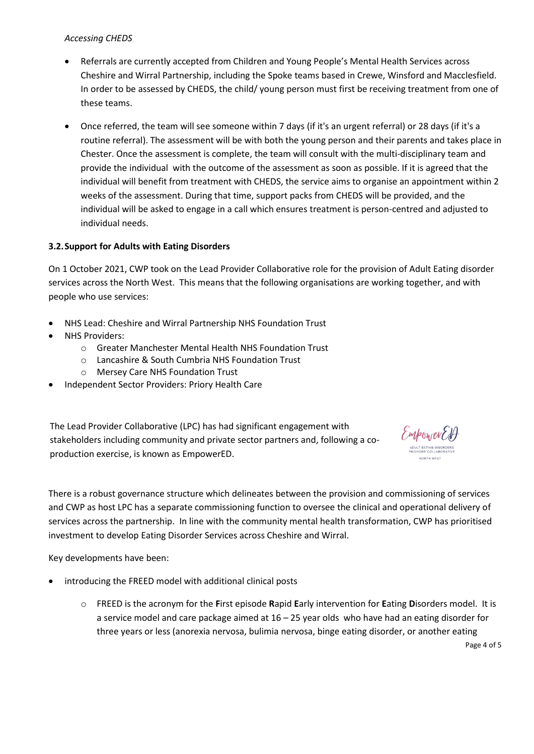## *Accessing CHEDS*

- Referrals are currently accepted from Children and Young People's Mental Health Services across Cheshire and Wirral Partnership, including the Spoke teams based in Crewe, Winsford and Macclesfield. In order to be assessed by CHEDS, the child/ young person must first be receiving treatment from one of these teams.
- Once referred, the team will see someone within 7 days (if it's an urgent referral) or 28 days (if it's a routine referral). The assessment will be with both the young person and their parents and takes place in Chester. Once the assessment is complete, the team will consult with the multi-disciplinary team and provide the individual with the outcome of the assessment as soon as possible. If it is agreed that the individual will benefit from treatment with CHEDS, the service aims to organise an appointment within 2 weeks of the assessment. During that time, support packs from CHEDS will be provided, and the individual will be asked to engage in a call which ensures treatment is person-centred and adjusted to individual needs.

## **3.2.Support for Adults with Eating Disorders**

On 1 October 2021, CWP took on the Lead Provider Collaborative role for the provision of Adult Eating disorder services across the North West. This means that the following organisations are working together, and with people who use services:

- NHS Lead: Cheshire and Wirral Partnership NHS Foundation Trust
- NHS Providers:
	- o Greater Manchester Mental Health NHS Foundation Trust
	- o Lancashire & South Cumbria NHS Foundation Trust
	- o Mersey Care NHS Foundation Trust
- Independent Sector Providers: Priory Health Care

The Lead Provider Collaborative (LPC) has had significant engagement with stakeholders including community and private sector partners and, following a coproduction exercise, is known as EmpowerED.



There is a robust governance structure which delineates between the provision and commissioning of services and CWP as host LPC has a separate commissioning function to oversee the clinical and operational delivery of services across the partnership. In line with the community mental health transformation, CWP has prioritised investment to develop Eating Disorder Services across Cheshire and Wirral.

Key developments have been:

- introducing the FREED model with additional clinical posts
	- o FREED is the acronym for the **F**irst episode **R**apid **E**arly intervention for **E**ating **D**isorders model. It is a service model and care package aimed at 16 – 25 year olds who have had an eating disorder for three years or less (anorexia nervosa, bulimia nervosa, binge eating disorder, or another eating

Page 4 of 5